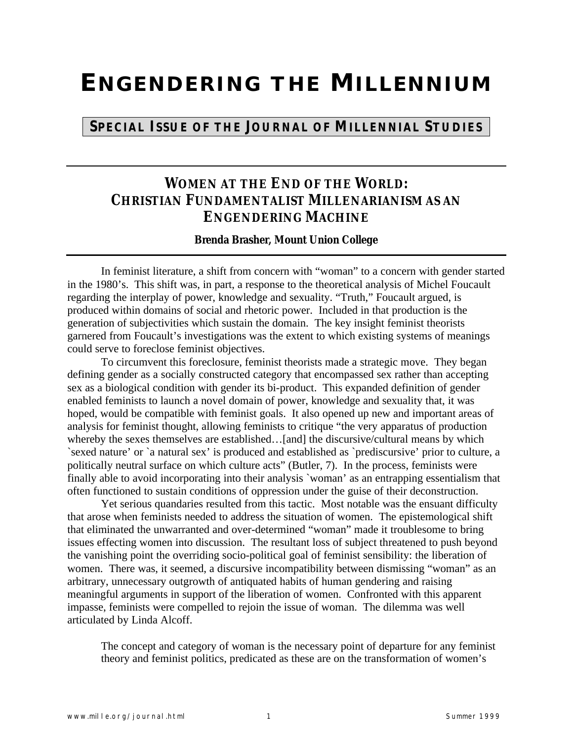## **ENGENDERING THE MILLENNIUM**

## **SPECIAL ISSUE OF THE JOURNAL OF MILLENNIAL STUDIES**

## **WOMEN AT THE END OF THE WORLD: CHRISTIAN FUNDAMENTALIST MILLENARIANISM AS AN ENGENDERING MACHINE**

**Brenda Brasher, Mount Union College**

In feminist literature, a shift from concern with "woman" to a concern with gender started in the 1980's. This shift was, in part, a response to the theoretical analysis of Michel Foucault regarding the interplay of power, knowledge and sexuality. "Truth," Foucault argued, is produced within domains of social and rhetoric power. Included in that production is the generation of subjectivities which sustain the domain. The key insight feminist theorists garnered from Foucault's investigations was the extent to which existing systems of meanings could serve to foreclose feminist objectives.

To circumvent this foreclosure, feminist theorists made a strategic move. They began defining gender as a socially constructed category that encompassed sex rather than accepting sex as a biological condition with gender its bi-product. This expanded definition of gender enabled feminists to launch a novel domain of power, knowledge and sexuality that, it was hoped, would be compatible with feminist goals. It also opened up new and important areas of analysis for feminist thought, allowing feminists to critique "the very apparatus of production whereby the sexes themselves are established...[and] the discursive/cultural means by which `sexed nature' or `a natural sex' is produced and established as `prediscursive' prior to culture, a politically neutral surface on which culture acts" (Butler, 7). In the process, feminists were finally able to avoid incorporating into their analysis `woman' as an entrapping essentialism that often functioned to sustain conditions of oppression under the guise of their deconstruction.

Yet serious quandaries resulted from this tactic. Most notable was the ensuant difficulty that arose when feminists needed to address the situation of women. The epistemological shift that eliminated the unwarranted and over-determined "woman" made it troublesome to bring issues effecting women into discussion. The resultant loss of subject threatened to push beyond the vanishing point the overriding socio-political goal of feminist sensibility: the liberation of women. There was, it seemed, a discursive incompatibility between dismissing "woman" as an arbitrary, unnecessary outgrowth of antiquated habits of human gendering and raising meaningful arguments in support of the liberation of women. Confronted with this apparent impasse, feminists were compelled to rejoin the issue of woman. The dilemma was well articulated by Linda Alcoff.

The concept and category of woman is the necessary point of departure for any feminist theory and feminist politics, predicated as these are on the transformation of women's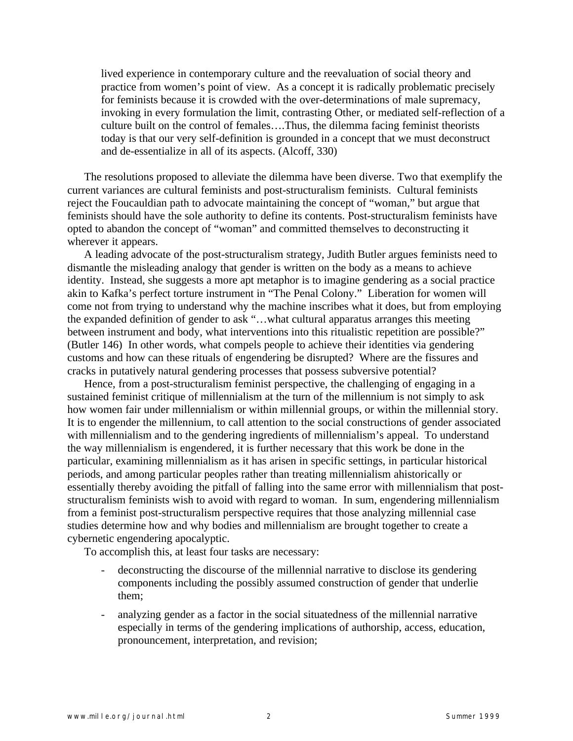lived experience in contemporary culture and the reevaluation of social theory and practice from women's point of view. As a concept it is radically problematic precisely for feminists because it is crowded with the over-determinations of male supremacy, invoking in every formulation the limit, contrasting Other, or mediated self-reflection of a culture built on the control of females….Thus, the dilemma facing feminist theorists today is that our very self-definition is grounded in a concept that we must deconstruct and de-essentialize in all of its aspects. (Alcoff, 330)

The resolutions proposed to alleviate the dilemma have been diverse. Two that exemplify the current variances are cultural feminists and post-structuralism feminists. Cultural feminists reject the Foucauldian path to advocate maintaining the concept of "woman," but argue that feminists should have the sole authority to define its contents. Post-structuralism feminists have opted to abandon the concept of "woman" and committed themselves to deconstructing it wherever it appears.

A leading advocate of the post-structuralism strategy, Judith Butler argues feminists need to dismantle the misleading analogy that gender is written on the body as a means to achieve identity. Instead, she suggests a more apt metaphor is to imagine gendering as a social practice akin to Kafka's perfect torture instrument in "The Penal Colony." Liberation for women will come not from trying to understand why the machine inscribes what it does, but from employing the expanded definition of gender to ask "…what cultural apparatus arranges this meeting between instrument and body, what interventions into this ritualistic repetition are possible?" (Butler 146) In other words, what compels people to achieve their identities via gendering customs and how can these rituals of engendering be disrupted? Where are the fissures and cracks in putatively natural gendering processes that possess subversive potential?

Hence, from a post-structuralism feminist perspective, the challenging of engaging in a sustained feminist critique of millennialism at the turn of the millennium is not simply to ask how women fair under millennialism or within millennial groups, or within the millennial story. It is to engender the millennium, to call attention to the social constructions of gender associated with millennialism and to the gendering ingredients of millennialism's appeal. To understand the way millennialism is engendered, it is further necessary that this work be done in the particular, examining millennialism as it has arisen in specific settings, in particular historical periods, and among particular peoples rather than treating millennialism ahistorically or essentially thereby avoiding the pitfall of falling into the same error with millennialism that poststructuralism feminists wish to avoid with regard to woman. In sum, engendering millennialism from a feminist post-structuralism perspective requires that those analyzing millennial case studies determine how and why bodies and millennialism are brought together to create a cybernetic engendering apocalyptic.

To accomplish this, at least four tasks are necessary:

- deconstructing the discourse of the millennial narrative to disclose its gendering components including the possibly assumed construction of gender that underlie them;
- analyzing gender as a factor in the social situatedness of the millennial narrative especially in terms of the gendering implications of authorship, access, education, pronouncement, interpretation, and revision;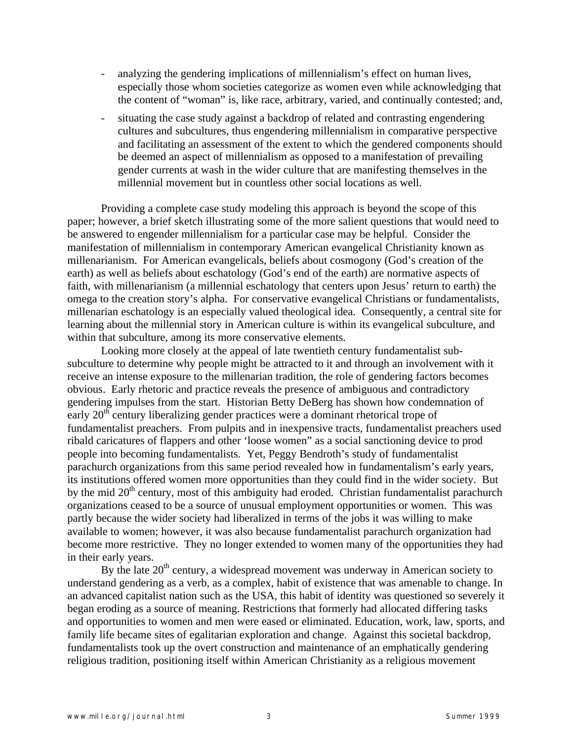- analyzing the gendering implications of millennialism's effect on human lives, especially those whom societies categorize as women even while acknowledging that the content of "woman" is, like race, arbitrary, varied, and continually contested; and,
- situating the case study against a backdrop of related and contrasting engendering cultures and subcultures, thus engendering millennialism in comparative perspective and facilitating an assessment of the extent to which the gendered components should be deemed an aspect of millennialism as opposed to a manifestation of prevailing gender currents at wash in the wider culture that are manifesting themselves in the millennial movement but in countless other social locations as well.

Providing a complete case study modeling this approach is beyond the scope of this paper; however, a brief sketch illustrating some of the more salient questions that would need to be answered to engender millennialism for a particular case may be helpful. Consider the manifestation of millennialism in contemporary American evangelical Christianity known as millenarianism. For American evangelicals, beliefs about cosmogony (God's creation of the earth) as well as beliefs about eschatology (God's end of the earth) are normative aspects of faith, with millenarianism (a millennial eschatology that centers upon Jesus' return to earth) the omega to the creation story's alpha. For conservative evangelical Christians or fundamentalists, millenarian eschatology is an especially valued theological idea. Consequently, a central site for learning about the millennial story in American culture is within its evangelical subculture, and within that subculture, among its more conservative elements.

Looking more closely at the appeal of late twentieth century fundamentalist subsubculture to determine why people might be attracted to it and through an involvement with it receive an intense exposure to the millenarian tradition, the role of gendering factors becomes obvious. Early rhetoric and practice reveals the presence of ambiguous and contradictory gendering impulses from the start. Historian Betty DeBerg has shown how condemnation of early 20<sup>th</sup> century liberalizing gender practices were a dominant rhetorical trope of fundamentalist preachers. From pulpits and in inexpensive tracts, fundamentalist preachers used ribald caricatures of flappers and other 'loose women" as a social sanctioning device to prod people into becoming fundamentalists. Yet, Peggy Bendroth's study of fundamentalist parachurch organizations from this same period revealed how in fundamentalism's early years, its institutions offered women more opportunities than they could find in the wider society. But by the mid  $20<sup>th</sup>$  century, most of this ambiguity had eroded. Christian fundamentalist parachurch organizations ceased to be a source of unusual employment opportunities or women. This was partly because the wider society had liberalized in terms of the jobs it was willing to make available to women; however, it was also because fundamentalist parachurch organization had become more restrictive. They no longer extended to women many of the opportunities they had in their early years.

By the late  $20<sup>th</sup>$  century, a widespread movement was underway in American society to understand gendering as a verb, as a complex, habit of existence that was amenable to change. In an advanced capitalist nation such as the USA, this habit of identity was questioned so severely it began eroding as a source of meaning. Restrictions that formerly had allocated differing tasks and opportunities to women and men were eased or eliminated. Education, work, law, sports, and family life became sites of egalitarian exploration and change. Against this societal backdrop, fundamentalists took up the overt construction and maintenance of an emphatically gendering religious tradition, positioning itself within American Christianity as a religious movement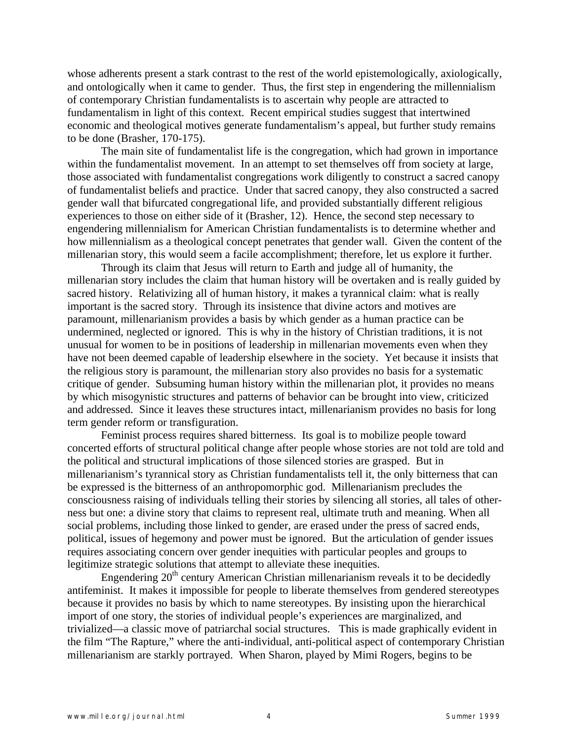whose adherents present a stark contrast to the rest of the world epistemologically, axiologically, and ontologically when it came to gender. Thus, the first step in engendering the millennialism of contemporary Christian fundamentalists is to ascertain why people are attracted to fundamentalism in light of this context. Recent empirical studies suggest that intertwined economic and theological motives generate fundamentalism's appeal, but further study remains to be done (Brasher, 170-175).

The main site of fundamentalist life is the congregation, which had grown in importance within the fundamentalist movement. In an attempt to set themselves off from society at large, those associated with fundamentalist congregations work diligently to construct a sacred canopy of fundamentalist beliefs and practice. Under that sacred canopy, they also constructed a sacred gender wall that bifurcated congregational life, and provided substantially different religious experiences to those on either side of it (Brasher, 12). Hence, the second step necessary to engendering millennialism for American Christian fundamentalists is to determine whether and how millennialism as a theological concept penetrates that gender wall. Given the content of the millenarian story, this would seem a facile accomplishment; therefore, let us explore it further.

Through its claim that Jesus will return to Earth and judge all of humanity, the millenarian story includes the claim that human history will be overtaken and is really guided by sacred history. Relativizing all of human history, it makes a tyrannical claim: what is really important is the sacred story. Through its insistence that divine actors and motives are paramount, millenarianism provides a basis by which gender as a human practice can be undermined, neglected or ignored. This is why in the history of Christian traditions, it is not unusual for women to be in positions of leadership in millenarian movements even when they have not been deemed capable of leadership elsewhere in the society. Yet because it insists that the religious story is paramount, the millenarian story also provides no basis for a systematic critique of gender. Subsuming human history within the millenarian plot, it provides no means by which misogynistic structures and patterns of behavior can be brought into view, criticized and addressed. Since it leaves these structures intact, millenarianism provides no basis for long term gender reform or transfiguration.

Feminist process requires shared bitterness. Its goal is to mobilize people toward concerted efforts of structural political change after people whose stories are not told are told and the political and structural implications of those silenced stories are grasped. But in millenarianism's tyrannical story as Christian fundamentalists tell it, the only bitterness that can be expressed is the bitterness of an anthropomorphic god. Millenarianism precludes the consciousness raising of individuals telling their stories by silencing all stories, all tales of otherness but one: a divine story that claims to represent real, ultimate truth and meaning. When all social problems, including those linked to gender, are erased under the press of sacred ends, political, issues of hegemony and power must be ignored. But the articulation of gender issues requires associating concern over gender inequities with particular peoples and groups to legitimize strategic solutions that attempt to alleviate these inequities.

Engendering  $20<sup>th</sup>$  century American Christian millenarianism reveals it to be decidedly antifeminist. It makes it impossible for people to liberate themselves from gendered stereotypes because it provides no basis by which to name stereotypes. By insisting upon the hierarchical import of one story, the stories of individual people's experiences are marginalized, and trivialized—a classic move of patriarchal social structures. This is made graphically evident in the film "The Rapture," where the anti-individual, anti-political aspect of contemporary Christian millenarianism are starkly portrayed. When Sharon, played by Mimi Rogers, begins to be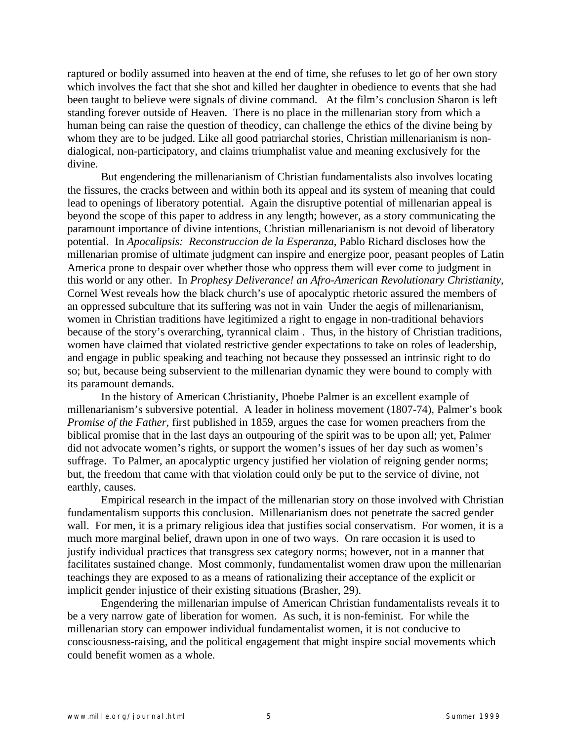raptured or bodily assumed into heaven at the end of time, she refuses to let go of her own story which involves the fact that she shot and killed her daughter in obedience to events that she had been taught to believe were signals of divine command. At the film's conclusion Sharon is left standing forever outside of Heaven. There is no place in the millenarian story from which a human being can raise the question of theodicy, can challenge the ethics of the divine being by whom they are to be judged. Like all good patriarchal stories, Christian millenarianism is nondialogical, non-participatory, and claims triumphalist value and meaning exclusively for the divine.

But engendering the millenarianism of Christian fundamentalists also involves locating the fissures, the cracks between and within both its appeal and its system of meaning that could lead to openings of liberatory potential. Again the disruptive potential of millenarian appeal is beyond the scope of this paper to address in any length; however, as a story communicating the paramount importance of divine intentions, Christian millenarianism is not devoid of liberatory potential. In *Apocalipsis: Reconstruccion de la Esperanza*, Pablo Richard discloses how the millenarian promise of ultimate judgment can inspire and energize poor, peasant peoples of Latin America prone to despair over whether those who oppress them will ever come to judgment in this world or any other. In *Prophesy Deliverance! an Afro-American Revolutionary Christianity*, Cornel West reveals how the black church's use of apocalyptic rhetoric assured the members of an oppressed subculture that its suffering was not in vain Under the aegis of millenarianism, women in Christian traditions have legitimized a right to engage in non-traditional behaviors because of the story's overarching, tyrannical claim . Thus, in the history of Christian traditions, women have claimed that violated restrictive gender expectations to take on roles of leadership, and engage in public speaking and teaching not because they possessed an intrinsic right to do so; but, because being subservient to the millenarian dynamic they were bound to comply with its paramount demands.

In the history of American Christianity, Phoebe Palmer is an excellent example of millenarianism's subversive potential. A leader in holiness movement (1807-74), Palmer's book *Promise of the Father,* first published in 1859, argues the case for women preachers from the biblical promise that in the last days an outpouring of the spirit was to be upon all; yet, Palmer did not advocate women's rights, or support the women's issues of her day such as women's suffrage. To Palmer, an apocalyptic urgency justified her violation of reigning gender norms; but, the freedom that came with that violation could only be put to the service of divine, not earthly, causes.

Empirical research in the impact of the millenarian story on those involved with Christian fundamentalism supports this conclusion. Millenarianism does not penetrate the sacred gender wall. For men, it is a primary religious idea that justifies social conservatism. For women, it is a much more marginal belief, drawn upon in one of two ways. On rare occasion it is used to justify individual practices that transgress sex category norms; however, not in a manner that facilitates sustained change. Most commonly, fundamentalist women draw upon the millenarian teachings they are exposed to as a means of rationalizing their acceptance of the explicit or implicit gender injustice of their existing situations (Brasher, 29).

Engendering the millenarian impulse of American Christian fundamentalists reveals it to be a very narrow gate of liberation for women. As such, it is non-feminist. For while the millenarian story can empower individual fundamentalist women, it is not conducive to consciousness-raising, and the political engagement that might inspire social movements which could benefit women as a whole.